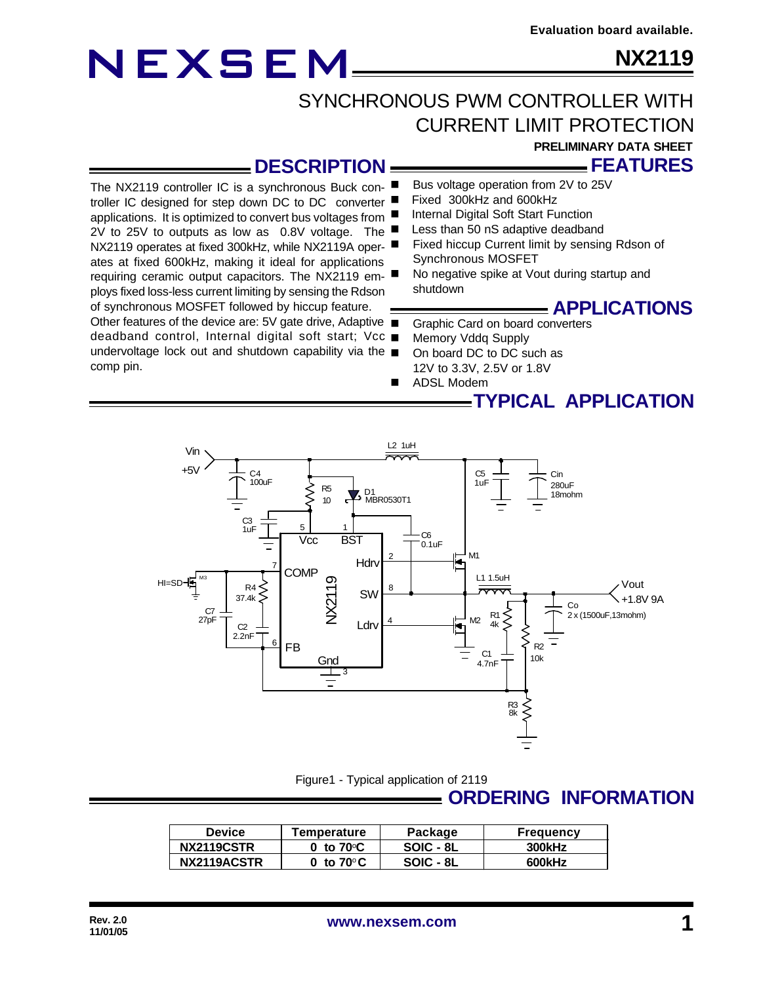**NX2119**

### SYNCHRONOUS PWM CONTROLLER WITH CURRENT LIMIT PROTECTION

#### **PRELIMINARY DATA SHEET**

— FEATURES

#### **DESCRIPTION**

The NX2119 controller IC is a synchronous Buck controller IC designed for step down DC to DC converter applications. It is optimized to convert bus voltages from 2V to 25V to outputs as low as 0.8V voltage. The NX2119 operates at fixed 300kHz, while NX2119A operates at fixed 600kHz, making it ideal for applications requiring ceramic output capacitors. The NX2119 employs fixed loss-less current limiting by sensing the Rdson of synchronous MOSFET followed by hiccup feature. Other features of the device are: 5V gate drive, Adaptive

deadband control, Internal digital soft start; Vcc undervoltage lock out and shutdown capability via the comp pin.

- Bus voltage operation from 2V to 25V
- Fixed 300kHz and 600kHz
- Internal Digital Soft Start Function
- Less than 50 nS adaptive deadband
- Fixed hiccup Current limit by sensing Rdson of Synchronous MOSFET
- No negative spike at Vout during startup and shutdown

#### **APPLICATIONS**

- Graphic Card on board converters
- Memory Vddq Supply
- On board DC to DC such as 12V to 3.3V, 2.5V or 1.8V
- **ADSL Modem**

### **TYPICAL APPLICATION**



Figure1 - Typical application of 2119

### **ORDERING INFORMATION**

| Device      | Temperature         | Package   | <b>Frequency</b> |  |
|-------------|---------------------|-----------|------------------|--|
| NX2119CSTR  | 0 to $70^{\circ}$ C | SOIC - 8L | 300kHz           |  |
| NX2119ACSTR | 0 to $70^{\circ}$ C | SOIC - 8L | 600kHz           |  |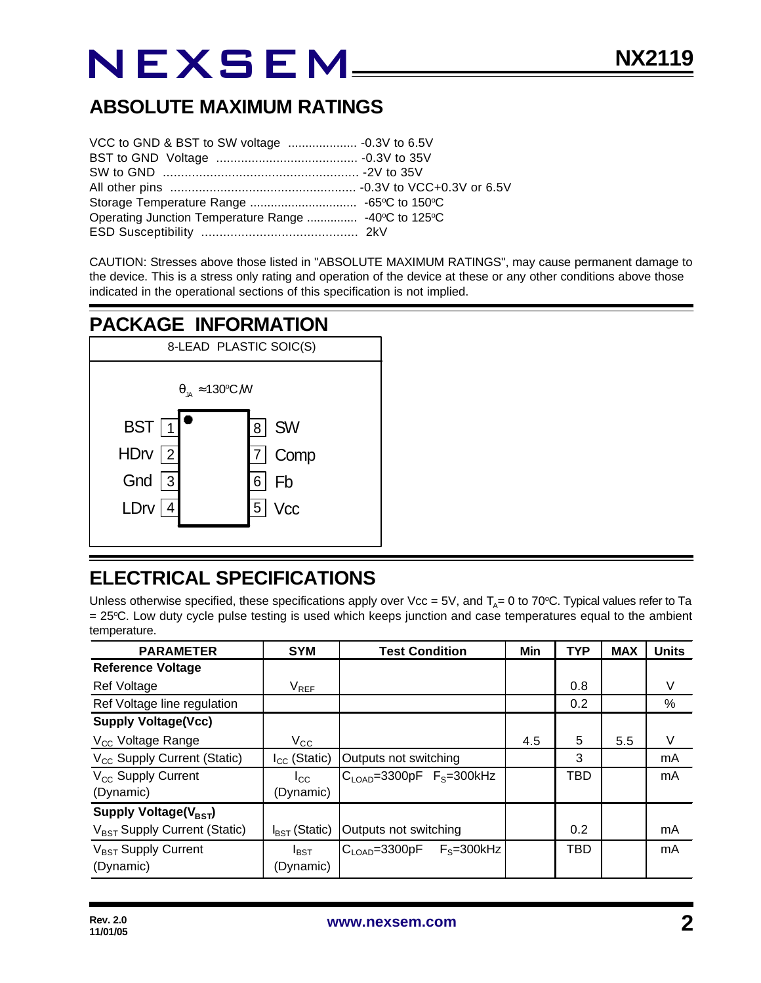### **ABSOLUTE MAXIMUM RATINGS**

| Operating Junction Temperature Range  -40°C to 125°C |  |  |
|------------------------------------------------------|--|--|
|                                                      |  |  |

CAUTION: Stresses above those listed in "ABSOLUTE MAXIMUM RATINGS", may cause permanent damage to the device. This is a stress only rating and operation of the device at these or any other conditions above those indicated in the operational sections of this specification is not implied.

### **PACKAGE INFORMATION**



### **ELECTRICAL SPECIFICATIONS**

Unless otherwise specified, these specifications apply over Vcc = 5V, and T<sub>A</sub>= 0 to 70°C. Typical values refer to Ta = 25oC. Low duty cycle pulse testing is used which keeps junction and case temperatures equal to the ambient temperature.

| <b>PARAMETER</b>                         | <b>SYM</b>                | <b>Test Condition</b>      | Min | <b>TYP</b> | <b>MAX</b> | <b>Units</b> |
|------------------------------------------|---------------------------|----------------------------|-----|------------|------------|--------------|
| <b>Reference Voltage</b>                 |                           |                            |     |            |            |              |
| Ref Voltage                              | $V_{REF}$                 |                            |     | 0.8        |            | V            |
| Ref Voltage line regulation              |                           |                            |     | 0.2        |            | %            |
| <b>Supply Voltage(Vcc)</b>               |                           |                            |     |            |            |              |
| V <sub>cc</sub> Voltage Range            | $V_{\rm CC}$              |                            | 4.5 | 5          | 5.5        | V            |
| V <sub>CC</sub> Supply Current (Static)  | $I_{CC}$ (Static)         | Outputs not switching      |     | 3          |            | mA           |
| V <sub>cc</sub> Supply Current           | $I_{\rm CC}$              | $CLOAD=3300pF FS=300kHz$   |     | TBD        |            | mA           |
| (Dynamic)                                | (Dynamic)                 |                            |     |            |            |              |
| Supply Voltage(V <sub>BST</sub> )        |                           |                            |     |            |            |              |
| V <sub>BST</sub> Supply Current (Static) | $I_{\text{BST}}$ (Static) | Outputs not switching      |     | 0.2        |            | mA           |
| V <sub>BST</sub> Supply Current          | $I_{\text{BST}}$          | $CLOAD=3300pF$ $FS=300kHz$ |     | <b>TBD</b> |            | mA           |
| (Dynamic)                                | (Dynamic)                 |                            |     |            |            |              |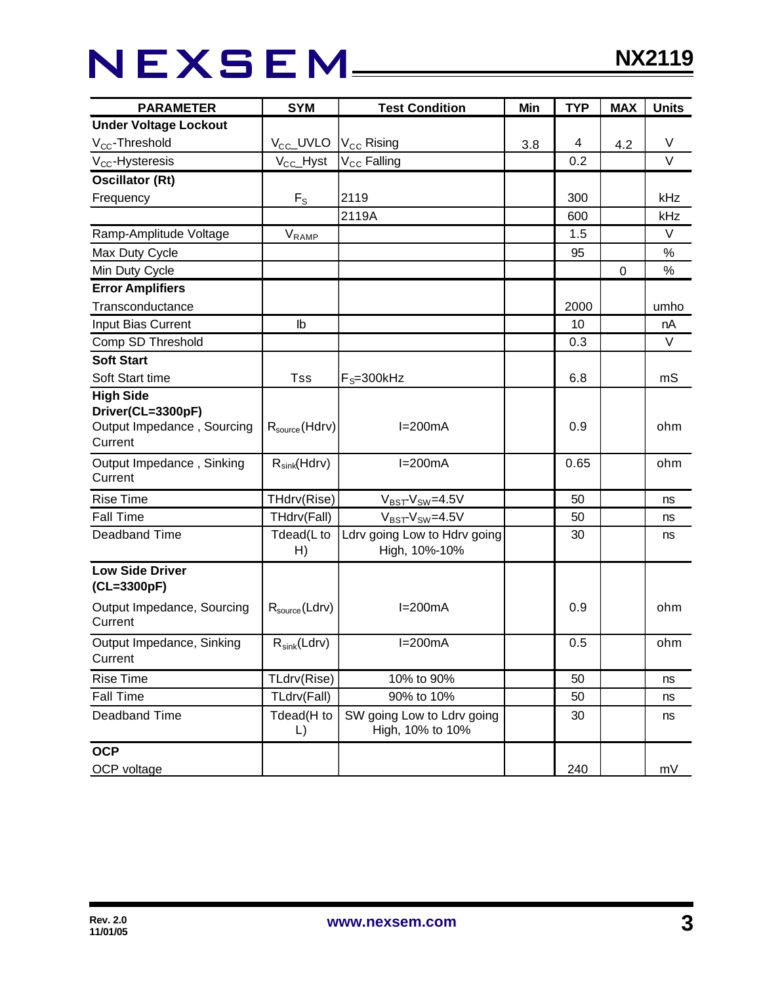## NEXSEM\_\_\_\_\_

| <b>PARAMETER</b>                                                               | <b>SYM</b>           | <b>Test Condition</b>                          | Min | <b>TYP</b> | <b>MAX</b> | <b>Units</b> |
|--------------------------------------------------------------------------------|----------------------|------------------------------------------------|-----|------------|------------|--------------|
| <b>Under Voltage Lockout</b>                                                   |                      |                                                |     |            |            |              |
| $V_{CC}$ -Threshold                                                            | $V_{CC}$ UVLO        | $V_{CC}$ Rising                                | 3.8 | 4          | 4.2        | V            |
| $V_{CC}$ -Hysteresis                                                           | $V_{\text{CC}}$ Hyst | V <sub>CC</sub> Falling                        |     | 0.2        |            | $\vee$       |
| <b>Oscillator (Rt)</b>                                                         |                      |                                                |     |            |            |              |
| Frequency                                                                      | $F_{S}$              | 2119                                           |     | 300        |            | kHz          |
|                                                                                |                      | 2119A                                          |     | 600        |            | kHz          |
| Ramp-Amplitude Voltage                                                         | VRAMP                |                                                |     | 1.5        |            | $\vee$       |
| Max Duty Cycle                                                                 |                      |                                                |     | 95         |            | $\%$         |
| Min Duty Cycle                                                                 |                      |                                                |     |            | 0          | $\%$         |
| <b>Error Amplifiers</b>                                                        |                      |                                                |     |            |            |              |
| Transconductance                                                               |                      |                                                |     | 2000       |            | umho         |
| Input Bias Current                                                             | $\mathsf{lb}$        |                                                |     | 10         |            | nA           |
| Comp SD Threshold                                                              |                      |                                                |     | 0.3        |            | V            |
| <b>Soft Start</b>                                                              |                      |                                                |     |            |            |              |
| Soft Start time                                                                | <b>Tss</b>           | $F_s = 300$ kHz                                |     | 6.8        |            | mS           |
| <b>High Side</b><br>Driver(CL=3300pF)<br>Output Impedance, Sourcing<br>Current | $R_{source}$ (Hdrv)  | $I=200mA$                                      |     | 0.9        |            | ohm          |
| Output Impedance, Sinking<br>Current                                           | $R_{sink}(Hdrv)$     | $I=200mA$                                      |     | 0.65       |            | ohm          |
| <b>Rise Time</b>                                                               | THdrv(Rise)          | $V_{BST}$ - $V_{SW}$ =4.5V                     |     | 50         |            | ns           |
| <b>Fall Time</b>                                                               | THdrv(Fall)          | $V_{BST}$ - $V_{SW}$ =4.5V                     |     | 50         |            | ns           |
| Deadband Time                                                                  | Tdead(L to<br>H)     | Ldrv going Low to Hdrv going<br>High, 10%-10%  |     | 30         |            | ns           |
| <b>Low Side Driver</b><br>(CL=3300pF)                                          |                      |                                                |     |            |            |              |
| Output Impedance, Sourcing<br>Current                                          | $R_{source}$ (Ldrv)  | $I=200mA$                                      |     | 0.9        |            | ohm          |
| Output Impedance, Sinking<br>Current                                           | $R_{sink}(Ldrv)$     | $I=200mA$                                      |     | 0.5        |            | ohm          |
| <b>Rise Time</b>                                                               | TLdrv(Rise)          | 10% to 90%                                     |     | 50         |            | ns           |
| Fall Time                                                                      | TLdrv(Fall)          | 90% to 10%                                     |     | 50         |            | ns           |
| Deadband Time                                                                  | Tdead(H to<br>L)     | SW going Low to Ldrv going<br>High, 10% to 10% |     | 30         |            | ns           |
| <b>OCP</b><br>OCP voltage                                                      |                      |                                                |     | 240        |            | mV           |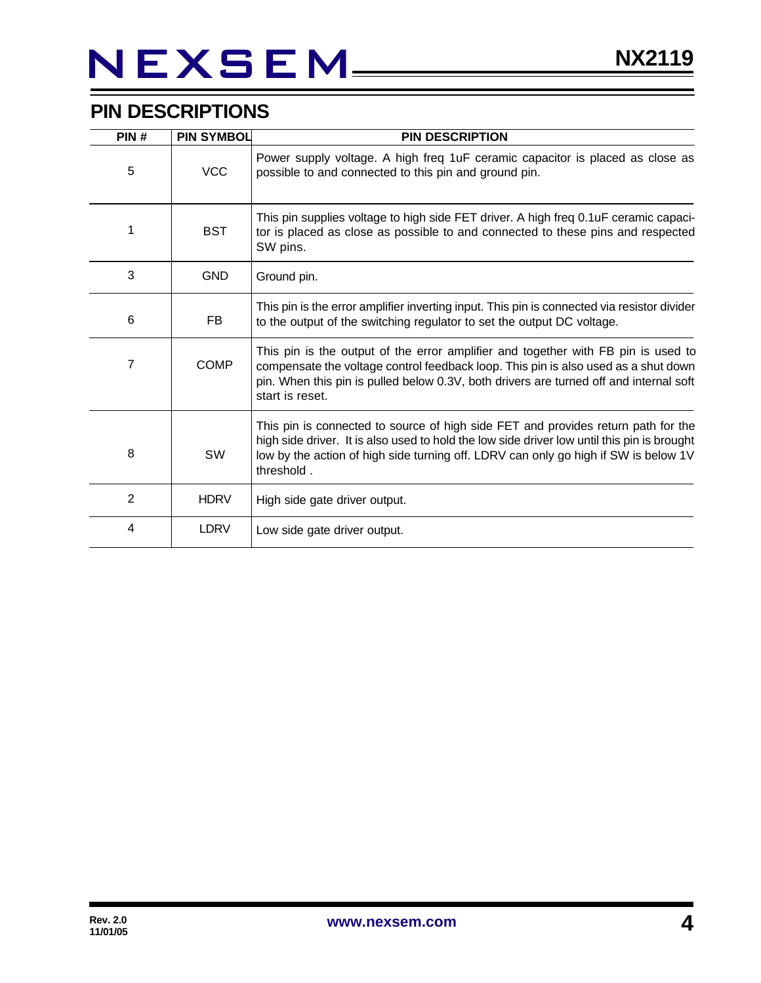### **PIN DESCRIPTIONS**

| PIN#           | <b>PIN SYMBOL</b> | <b>PIN DESCRIPTION</b>                                                                                                                                                                                                                                                                |
|----------------|-------------------|---------------------------------------------------------------------------------------------------------------------------------------------------------------------------------------------------------------------------------------------------------------------------------------|
| 5              | <b>VCC</b>        | Power supply voltage. A high freq 1uF ceramic capacitor is placed as close as<br>possible to and connected to this pin and ground pin.                                                                                                                                                |
| 1              | <b>BST</b>        | This pin supplies voltage to high side FET driver. A high freq 0.1uF ceramic capaci-<br>tor is placed as close as possible to and connected to these pins and respected<br>SW pins.                                                                                                   |
| 3              | <b>GND</b>        | Ground pin.                                                                                                                                                                                                                                                                           |
| 6              | <b>FB</b>         | This pin is the error amplifier inverting input. This pin is connected via resistor divider<br>to the output of the switching regulator to set the output DC voltage.                                                                                                                 |
| 7              | <b>COMP</b>       | This pin is the output of the error amplifier and together with FB pin is used to<br>compensate the voltage control feedback loop. This pin is also used as a shut down<br>pin. When this pin is pulled below 0.3V, both drivers are turned off and internal soft<br>start is reset.  |
| 8              | SW                | This pin is connected to source of high side FET and provides return path for the<br>high side driver. It is also used to hold the low side driver low until this pin is brought<br>low by the action of high side turning off. LDRV can only go high if SW is below 1V<br>threshold. |
| $\overline{2}$ | <b>HDRV</b>       | High side gate driver output.                                                                                                                                                                                                                                                         |
| 4              | <b>LDRV</b>       | Low side gate driver output.                                                                                                                                                                                                                                                          |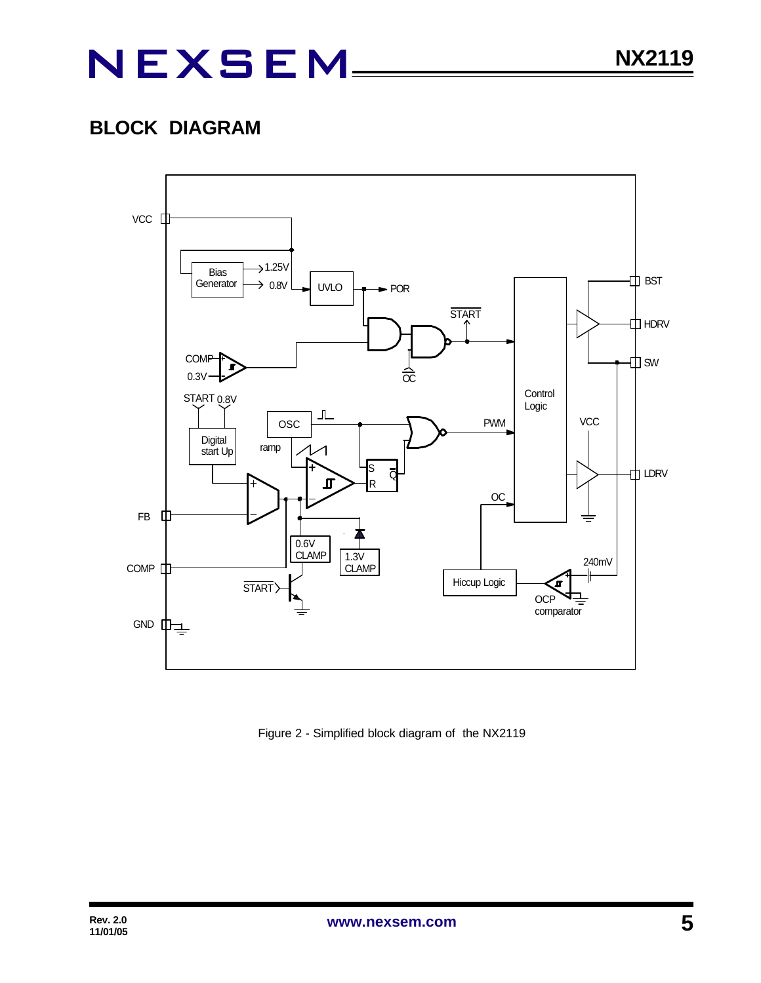### **BLOCK DIAGRAM**



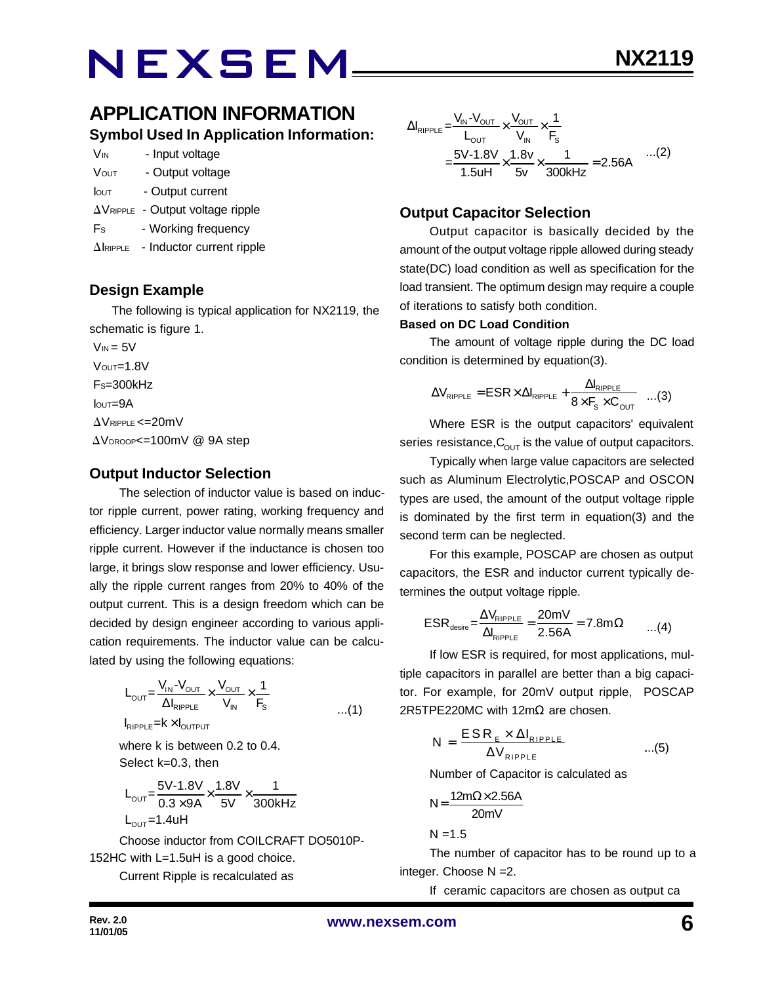### **APPLICATION INFORMATION Symbol Used In Application Information:**

| <b>V<sub>IN</sub></b> | - Input voltage |
|-----------------------|-----------------|
|-----------------------|-----------------|

- VOUT Output voltage
- Iout Output current
- $\Delta V_{RIPPLE}$  Output voltage ripple
- Fs Working frequency
- $\Delta$ IRIPPLE Inductor current ripple

#### **Design Example**

 The following is typical application for NX2119, the schematic is figure 1.

 $V_{IN} = 5V$  $V$ <sub>OUT</sub> $=$ 1.8V  $Fs = 300kHz$  IOUT=9A  $\Delta$ VRIPPLE <=20mV  $\Delta V_{\text{DROOP}} = 100$ mV @ 9A step

#### **Output Inductor Selection**

The selection of inductor value is based on inductor ripple current, power rating, working frequency and efficiency. Larger inductor value normally means smaller ripple current. However if the inductance is chosen too large, it brings slow response and lower efficiency. Usually the ripple current ranges from 20% to 40% of the output current. This is a design freedom which can be decided by design engineer according to various application requirements. The inductor value can be calculated by using the following equations:

$$
L_{\text{OUT}} = \frac{V_{\text{IN}} - V_{\text{OUT}}}{\Delta I_{\text{RIPPLE}}} \times \frac{V_{\text{OUT}}}{V_{\text{IN}}} \times \frac{1}{F_{\text{S}}}
$$
...(1)

 $I_{RIPPLE}$  =  $k \times I_{OUTPUT}$ 

where k is between 0.2 to 0.4. Select k=0.3, then

$$
L_{\text{OUT}} = \frac{5V - 1.8V}{0.3 \times 9A} \times \frac{1.8V}{5V} \times \frac{1}{300kHz}
$$
  
L\_{\text{OUT}} = 1.4uH

Choose inductor from COILCRAFT DO5010P-152HC with L=1.5uH is a good choice.

Current Ripple is recalculated as

$$
\Delta I_{RIPPLE} = \frac{V_{IN} - V_{OUT}}{L_{OUT}} \times \frac{V_{OUT}}{V_{IN}} \times \frac{1}{F_s}
$$
  
= 
$$
\frac{5V - 1.8V}{1.5uH} \times \frac{1.8v}{5v} \times \frac{1}{300kHz} = 2.56A
$$
...(2)

#### **Output Capacitor Selection**

Output capacitor is basically decided by the amount of the output voltage ripple allowed during steady state(DC) load condition as well as specification for the load transient. The optimum design may require a couple of iterations to satisfy both condition.

#### **Based on DC Load Condition**

The amount of voltage ripple during the DC load condition is determined by equation(3).

$$
\Delta V_{\text{RIPPLE}} = \text{ESR} \times \Delta I_{\text{RIPPLE}} + \frac{\Delta I_{\text{RIPPLE}}}{8 \times F_{\text{s}} \times C_{\text{OUT}}} \quad ...(3)
$$

Where ESR is the output capacitors' equivalent series resistance,  $C_{\text{OUT}}$  is the value of output capacitors.

Typically when large value capacitors are selected such as Aluminum Electrolytic,POSCAP and OSCON types are used, the amount of the output voltage ripple is dominated by the first term in equation(3) and the second term can be neglected.

For this example, POSCAP are chosen as output capacitors, the ESR and inductor current typically determines the output voltage ripple.

$$
ESR_{\text{desire}} = \frac{\Delta V_{\text{RIPPLE}}}{\Delta I_{\text{RIPPLE}}} = \frac{20 \text{mV}}{2.56 \text{A}} = 7.8 \text{m}\Omega \qquad ...(4)
$$

If low ESR is required, for most applications, multiple capacitors in parallel are better than a big capacitor. For example, for 20mV output ripple, POSCAP 2R5TPE220MC with 12m $\Omega$  are chosen.

$$
N = \frac{ESR_{E} \times \Delta I_{RIPPLE}}{\Delta V_{RIPPLE}} \qquad ...(5)
$$

Number of Capacitor is calculated as

$$
N = \frac{12m\Omega \times 2.56A}{20mV}
$$

 $N = 1.5$ 

The number of capacitor has to be round up to a integer. Choose N =2.

If ceramic capacitors are chosen as output ca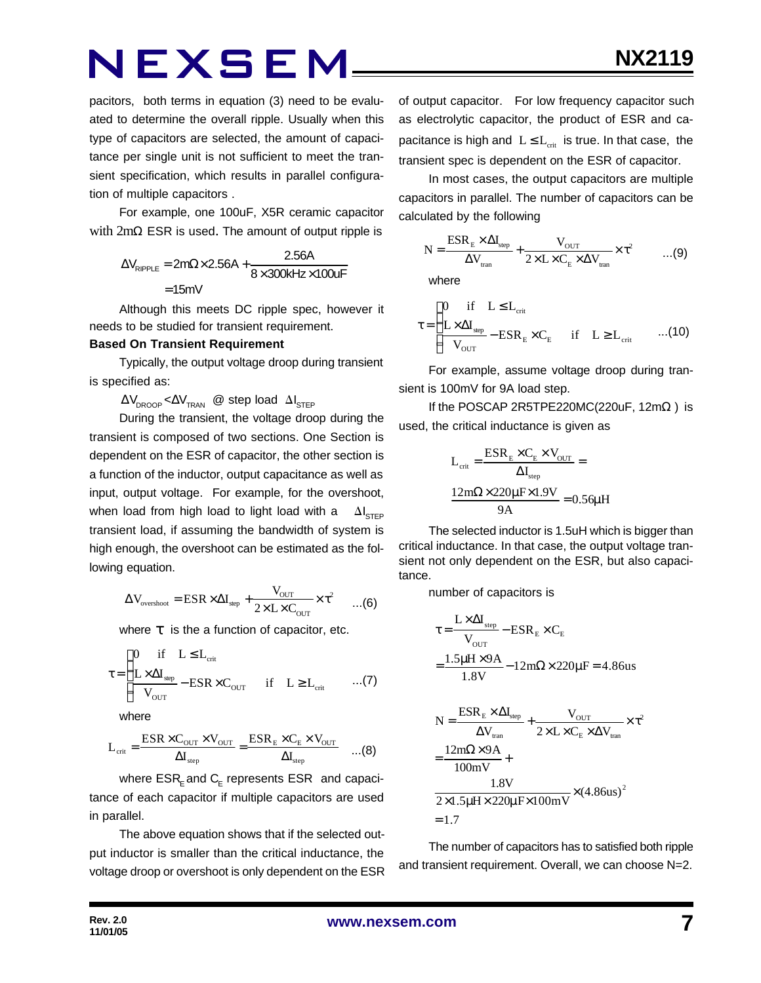pacitors, both terms in equation (3) need to be evaluated to determine the overall ripple. Usually when this type of capacitors are selected, the amount of capacitance per single unit is not sufficient to meet the transient specification, which results in parallel configuration of multiple capacitors .

For example, one 100uF, X5R ceramic capacitor with 2mΩ ESR is used. The amount of output ripple is

$$
\Delta V_{\text{RIPPLE}} = 2m\Omega \times 2.56A + \frac{2.56A}{8 \times 300kHz \times 100uF}
$$

$$
= 15mV
$$

Although this meets DC ripple spec, however it needs to be studied for transient requirement.

#### **Based On Transient Requirement**

Typically, the output voltage droop during transient is specified as:

 $\Delta V_{\text{DROOP}} < \Delta V_{\text{TRAN}}$  @ step load  $\Delta I_{\text{STEP}}$ 

During the transient, the voltage droop during the transient is composed of two sections. One Section is dependent on the ESR of capacitor, the other section is a function of the inductor, output capacitance as well as input, output voltage. For example, for the overshoot, when load from high load to light load with a  $\Delta I_{\text{STED}}$ transient load, if assuming the bandwidth of system is high enough, the overshoot can be estimated as the following equation.

$$
\Delta V_{\text{overshoot}} = ESR \times \Delta I_{\text{step}} + \frac{V_{\text{OUT}}}{2 \times L \times C_{\text{OUT}}} \times \tau^2 \qquad ...(6)
$$

where  $t$  is the a function of capacitor, etc.

$$
\tau = \begin{cases}\n0 & \text{if} \quad L \leq L_{\text{crit}} \\
\frac{L \times \Delta I_{\text{step}}}{V_{\text{OUT}}} - \text{ESR} \times C_{\text{OUT}} & \text{if} \quad L \geq L_{\text{crit}} \quad \dots (7)\n\end{cases}
$$

where

$$
L_{\text{crit}} = \frac{\text{ESR} \times C_{\text{OUT}} \times V_{\text{OUT}}}{\Delta I_{\text{step}}} = \frac{\text{ESR}_{\text{E}} \times C_{\text{E}} \times V_{\text{OUT}}}{\Delta I_{\text{step}}} \quad ...(8)
$$

where  $\mathsf{ESR}_\mathsf{E}$  and  $\mathsf{C}_\mathsf{E}$  represents  $\mathsf{ESR}\;$  and capacitance of each capacitor if multiple capacitors are used in parallel.

The above equation shows that if the selected output inductor is smaller than the critical inductance, the voltage droop or overshoot is only dependent on the ESR of output capacitor. For low frequency capacitor such as electrolytic capacitor, the product of ESR and capacitance is high and  $L \leq L_{crit}$  is true. In that case, the transient spec is dependent on the ESR of capacitor.

In most cases, the output capacitors are multiple capacitors in parallel. The number of capacitors can be calculated by the following

$$
N = \frac{ESR_{E} \times \Delta I_{\text{step}}}{\Delta V_{\text{tran}}} + \frac{V_{\text{OUT}}}{2 \times L \times C_{E} \times \Delta V_{\text{tran}}} \times \tau^{2}
$$
...(9)

where

$$
\tau = \begin{cases}\n0 & \text{if } L \leq L_{\text{crit}} \\
\frac{L \times \Delta I_{\text{step}}}{V_{\text{OUT}}} - \text{ESR}_{\text{E}} \times C_{\text{E}} & \text{if } L \geq L_{\text{crit}} \quad ...(10)\n\end{cases}
$$

For example, assume voltage droop during transient is 100mV for 9A load step.

If the POSCAP 2R5TPE220MC(220uF,  $12m\Omega$ ) is used, the critical inductance is given as

$$
L_{\text{crit}} = \frac{ESR_{\text{E}} \times C_{\text{E}} \times V_{\text{OUT}}}{\Delta I_{\text{step}}} =
$$

$$
\frac{12m\Omega \times 220\mu\text{F} \times 1.9V}{9A} = 0.56\mu\text{H}
$$

The selected inductor is 1.5uH which is bigger than critical inductance. In that case, the output voltage transient not only dependent on the ESR, but also capacitance.

number of capacitors is

$$
\tau = \frac{L \times \Delta I_{\text{step}}}{V_{\text{OUT}}} - ESR_E \times C_E
$$

$$
= \frac{1.5 \mu H \times 9A}{1.8 V} - 12 m\Omega \times 220 \mu F = 4.86 us
$$

$$
N = \frac{ESR_{E} \times \Delta I_{step}}{\Delta V_{tran}} + \frac{V_{OUT}}{2 \times L \times C_{E} \times \Delta V_{tran}} \times \tau^{2}
$$

$$
= \frac{12m\Omega \times 9A}{100mV} + \frac{1.8V}{2 \times 1.5 \mu H \times 220 \mu F \times 100mV} \times (4.86us)^{2}
$$

$$
= 1.7
$$

The number of capacitors has to satisfied both ripple and transient requirement. Overall, we can choose N=2.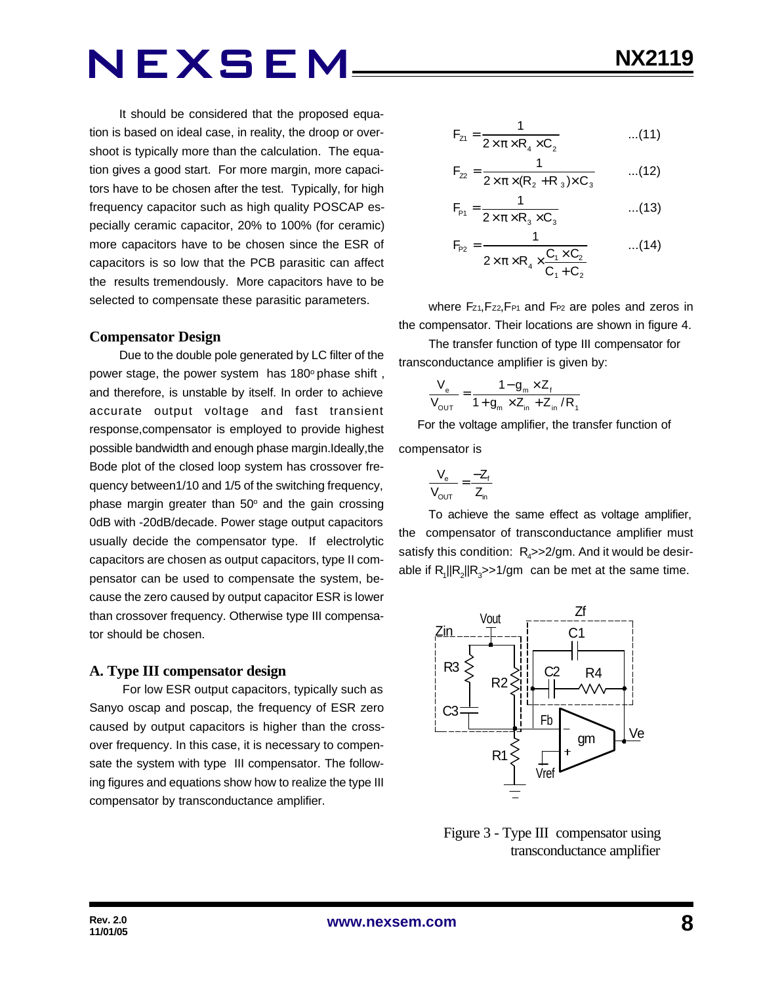It should be considered that the proposed equation is based on ideal case, in reality, the droop or overshoot is typically more than the calculation. The equation gives a good start. For more margin, more capacitors have to be chosen after the test. Typically, for high frequency capacitor such as high quality POSCAP especially ceramic capacitor, 20% to 100% (for ceramic) more capacitors have to be chosen since the ESR of capacitors is so low that the PCB parasitic can affect the results tremendously. More capacitors have to be selected to compensate these parasitic parameters.

#### **Compensator Design**

Due to the double pole generated by LC filter of the power stage, the power system has 180° phase shift, and therefore, is unstable by itself. In order to achieve accurate output voltage and fast transient response,compensator is employed to provide highest possible bandwidth and enough phase margin.Ideally,the Bode plot of the closed loop system has crossover frequency between1/10 and 1/5 of the switching frequency, phase margin greater than  $50^{\circ}$  and the gain crossing 0dB with -20dB/decade. Power stage output capacitors usually decide the compensator type. If electrolytic capacitors are chosen as output capacitors, type II compensator can be used to compensate the system, because the zero caused by output capacitor ESR is lower than crossover frequency. Otherwise type III compensator should be chosen.

#### **A. Type III compensator design**

 For low ESR output capacitors, typically such as Sanyo oscap and poscap, the frequency of ESR zero caused by output capacitors is higher than the crossover frequency. In this case, it is necessary to compensate the system with type III compensator. The following figures and equations show how to realize the type III compensator by transconductance amplifier.

$$
F_{z1} = \frac{1}{2 \times \pi \times R_4 \times C_2}
$$
...(11)

$$
F_{22} = \frac{1}{2 \times \pi \times (R_2 + R_3) \times C_3}
$$
...(12)

$$
F_{P1} = \frac{1}{2 \times \pi \times R_3 \times C_3}
$$
...(13)

$$
F_{P2} = \frac{1}{2 \times \pi \times R_4 \times \frac{C_1 \times C_2}{C_1 + C_2}}
$$
...(14)

where Fz<sub>1</sub>, Fz<sub>2</sub>, F<sub>P1</sub> and F<sub>P2</sub> are poles and zeros in the compensator. Their locations are shown in figure 4.

The transfer function of type III compensator for transconductance amplifier is given by:

$$
\frac{V_{e}}{V_{\text{OUT}}} = \frac{1 - g_{m} \times Z_{f}}{1 + g_{m} \times Z_{in} + Z_{in} / R_{1}}
$$

 For the voltage amplifier, the transfer function of compensator is

$$
\frac{V_e}{V_{OUT}} = \frac{-Z_f}{Z_{in}}
$$

To achieve the same effect as voltage amplifier, the compensator of transconductance amplifier must satisfy this condition:  $R_{\mathcal{A}}$ >>2/gm. And it would be desirable if  $R_1$ || $R_2$ || $R_3$ >>1/gm can be met at the same time.



 Figure 3 - Type III compensator using transconductance amplifier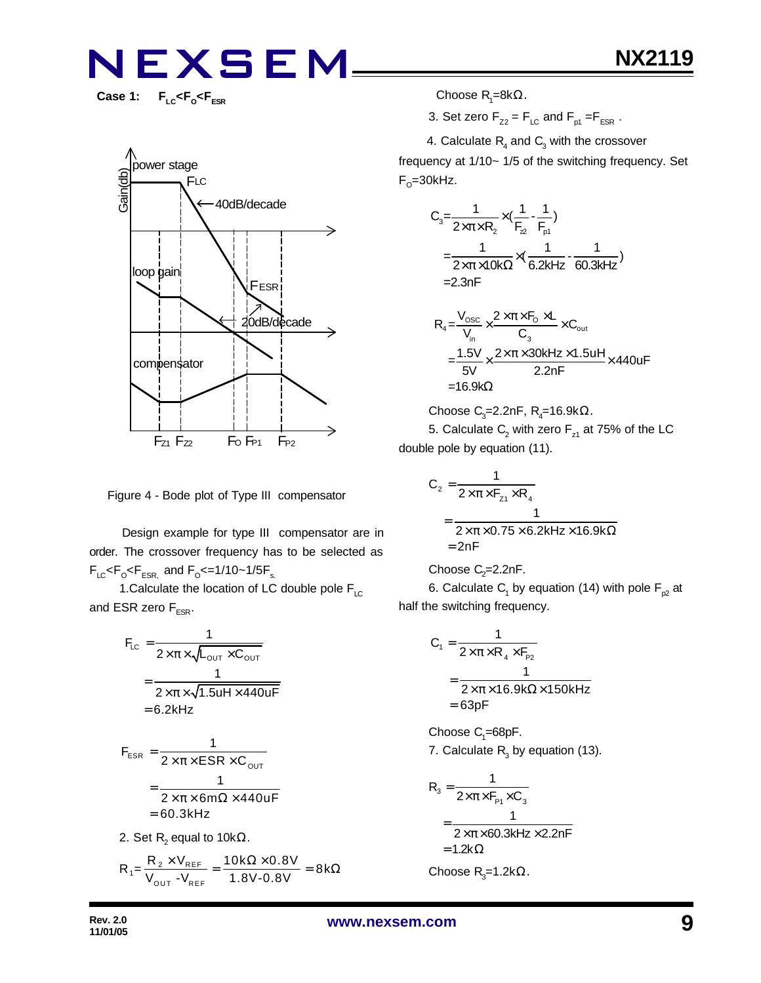Case 1: F<sub>LC</sub><F<sub>o</sub><F<sub>ESR</sub>



Figure 4 - Bode plot of Type III compensator

 Design example for type III compensator are in order. The crossover frequency has to be selected as  $F_{LC}$ < $F_{\rm o}$ < $F_{ESR,}$  and  $F_{\rm o}$ <=1/10~1/5 $F_{\rm s.}$ 

1. Calculate the location of LC double pole  $F_{LC}$ and ESR zero  $F_{FSR}$ .

$$
F_{LC} = \frac{1}{2 \times \pi \times \sqrt{L_{OUT} \times C_{OUT}}}
$$
  
= 
$$
\frac{1}{2 \times \pi \times \sqrt{1.5uH \times 440uF}}
$$
  
= 6.2kHz

$$
F_{ESR} = \frac{1}{2 \times \pi \times ESR \times C_{OUT}}
$$

$$
= \frac{1}{2 \times \pi \times 6m\Omega \times 440uF}
$$

$$
= 60.3kHz
$$

2. Set  $\mathsf{R}_{\mathsf{2}}$  equal to 10k $\Omega.$ 

$$
R_{1} = \frac{R_{2} \times V_{REF}}{V_{OUT} - V_{REF}} = \frac{10k\Omega \times 0.8V}{1.8V - 0.8V} = 8k\Omega
$$

 $\mathsf{Choose}\, R_1 = 8k\Omega.$ 

3. Set zero  $F_{Z2} = F_{LC}$  and  $F_{p1} = F_{ESR}$ .

4. Calculate  $R_4$  and  $C_3$  with the crossover

frequency at 1/10~ 1/5 of the switching frequency. Set F<sub>o</sub>=30kHz.

$$
C_3 = \frac{1}{2 \times \pi \times R_2} \times (\frac{1}{F_2} - \frac{1}{F_{p1}})
$$
  
=  $\frac{1}{2 \times \pi \times 10k\Omega} \times (\frac{1}{6.2kHz} - \frac{1}{60.3kHz})$   
= 2.3nF

$$
R_4 = \frac{V_{\text{osc}}}{V_{\text{in}}} \times \frac{2 \times \pi \times F_0 \times L}{C_3} \times C_{\text{out}}
$$
  
= 
$$
\frac{1.5V}{5V} \times \frac{2 \times \pi \times 30kHz \times 1.5uH}{2.2nF} \times 440uF
$$
  
= 16.9kΩ

Choose C $_{3}$ =2.2nF, R $_{4}$ =16.9k $\Omega$ .

5. Calculate  $\mathsf{C}_2$  with zero  $\mathsf{F}_{\mathsf{z}1}$  at 75% of the LC double pole by equation (11).

$$
C_2 = \frac{1}{2 \times \pi \times F_{z_1} \times R_4}
$$
  
= 
$$
\frac{1}{2 \times \pi \times 0.75 \times 6.2 \text{kHz} \times 16.9 \text{k}\Omega}
$$
  
= 2nF

Choose 
$$
C_2=2.2nF
$$
.

6. Calculate  $\mathsf{C}_\mathsf{1}$  by equation (14) with pole  $\mathsf{F}_{\mathsf{p2}}$  at half the switching frequency.

$$
C_1 = \frac{1}{2 \times \pi \times R_4 \times F_{p_2}}
$$
  
= 
$$
\frac{1}{2 \times \pi \times 16.9 \text{k}\Omega \times 150 \text{k}
$$
  
= 63pF

 $\mathsf{Choose}\ C_{\scriptscriptstyle \!1}=\!\!68$ p $\mathsf{F}.$ 

7. Calculate  $R_3$  by equation (13).

$$
R_{3} = \frac{1}{2 \times \pi \times F_{P1} \times C_{3}}
$$
  
= 
$$
\frac{1}{2 \times \pi \times 60.3 \text{kHz} \times 2.2 \text{nF}}
$$
  
= 1.2k $\Omega$   
Choose R<sub>3</sub>=1.2k $\Omega$ .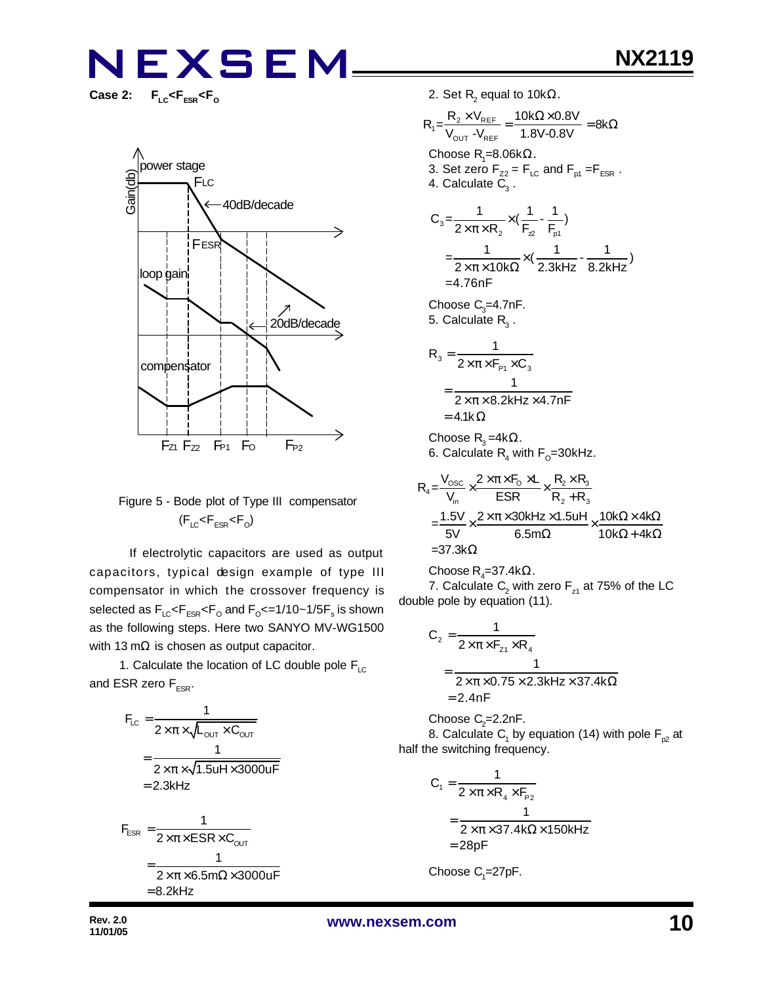$F_{LC}$ < $F_{ESR}$ < $F_{O}$ 



#### Figure 5 - Bode plot of Type III compensator  $(F_{LC}$ < $F_{ESR}$ < $F_{O}$ )

 If electrolytic capacitors are used as output capacitors, typical design example of type III compensator in which the crossover frequency is selected as  $\mathsf{F}_{\text{\tiny{LC}}} \!\!\mathopen{\leq} \!\mathsf{F}_{\text{\tiny{ESR}}} \!\!\mathopen{\leq} \!\mathsf{F}_{\text{\tiny{O}}}$  and  $\mathsf{F}_{\text{\tiny{O}}} \!\!\mathopen{\leq} \!=\! 1/10 \!\!\mathclose{\sim} \!1/\!5 \mathsf{F}_{\text{\tiny{S}}}$  is shown as the following steps. Here two SANYO MV-WG1500 with 13 m $\Omega$  is chosen as output capacitor.

1. Calculate the location of LC double pole  $F_{\text{LC}}$ and ESR zero  $F_{FSR}$ .

$$
F_{LC} = \frac{1}{2 \times \pi \times \sqrt{L_{OUT} \times C_{OUT}}}
$$
\n
$$
= \frac{1}{2 \times \pi \times \sqrt{1.5uH \times 3000uF}}
$$
\n
$$
= 2.3kHz
$$
\n
$$
F_{ESR} = \frac{1}{2 \times \pi \times ESR \times C_{OUT}}
$$
\n
$$
= \frac{1}{2 \times \pi \times 6.5m\Omega \times 3000uF}
$$
\n
$$
= 8.2kHz
$$

2. Set  $\mathsf{R}_{\mathsf{2}}$  equal to 10k $\Omega$ .

$$
R_{1} = \frac{R_{2} \times V_{REF}}{V_{OUT}} = \frac{10k\Omega \times 0.8V}{1.8V - 0.8V} = 8k\Omega
$$
  
Choose R<sub>1</sub>=8.06k $\Omega$ .  
3. Set zero F<sub>z2</sub> = F<sub>LC</sub> and F<sub>p1</sub> =F<sub>ESR</sub>.  
4. Calculate C<sub>3</sub>.  

$$
C_{3} = \frac{1}{2 \times \pi \times R_{2}} \times (\frac{1}{F_{2}} - \frac{1}{F_{p1}})
$$

$$
= \frac{1}{2 \times \pi \times 10k\Omega} \times (\frac{1}{2.3kHz} - \frac{1}{8.2kHz})
$$

$$
= 4.76nF
$$
Choose C<sub>3</sub>=4.7nF.  
5. Calculate R<sub>3</sub>.

$$
R_{3} = \frac{1}{2 \times \pi \times F_{P1} \times C_{3}}
$$
  
= 
$$
\frac{1}{2 \times \pi \times 8.2 \text{kHz} \times 4.7 \text{nF}}
$$
  
= 4.1k $\Omega$ 

Choose  $\mathsf{R}_{\mathfrak{\text{3}}}$ =4kΩ. 6. Calculate  $\mathsf{R}_{\mathsf{4}}$  with  $\mathsf{F}_{\mathsf{O}}\!\!=\!\!30\mathsf{k}$ Hz.

$$
R_4 = \frac{V_{\text{osc}}}{V_{\text{in}}} \times \frac{2 \times \pi \times F_0 \times L}{ESR} \times \frac{R_2 \times R_3}{R_2 + R_3}
$$
  
=  $\frac{1.5V}{5V} \times \frac{2 \times \pi \times 30kHz \times 1.5uH}{6.5m\Omega} \times \frac{10k\Omega \times 4k\Omega}{10k\Omega + 4k\Omega}$   
= 37.3k $\Omega$ 

Choose R<sub>4</sub>=37.4k $\Omega$ .

7. Calculate  $\mathsf{C}_2$  with zero  $\mathsf{F}_{\mathsf{z}1}$  at 75% of the LC double pole by equation (11).

$$
C_2 = \frac{1}{2 \times \pi \times F_{z_1} \times R_4}
$$
  
= 
$$
\frac{1}{2 \times \pi \times 0.75 \times 2.3 \text{kHz} \times 37.4 \text{k}\Omega}
$$
  
= 2.4nF

Choose  $C_2$ =2.2nF.

8. Calculate  $\mathsf{C}_\mathsf{1}$  by equation (14) with pole  $\mathsf{F}_{\mathsf{p2}}$  at half the switching frequency.

$$
C_1 = \frac{1}{2 \times \pi \times R_4 \times F_{p_2}}
$$
  
= 
$$
\frac{1}{2 \times \pi \times 37.4 k\Omega \times 150 kHz}
$$
  
= 28pF

Choose  $C_1 = 27pF$ .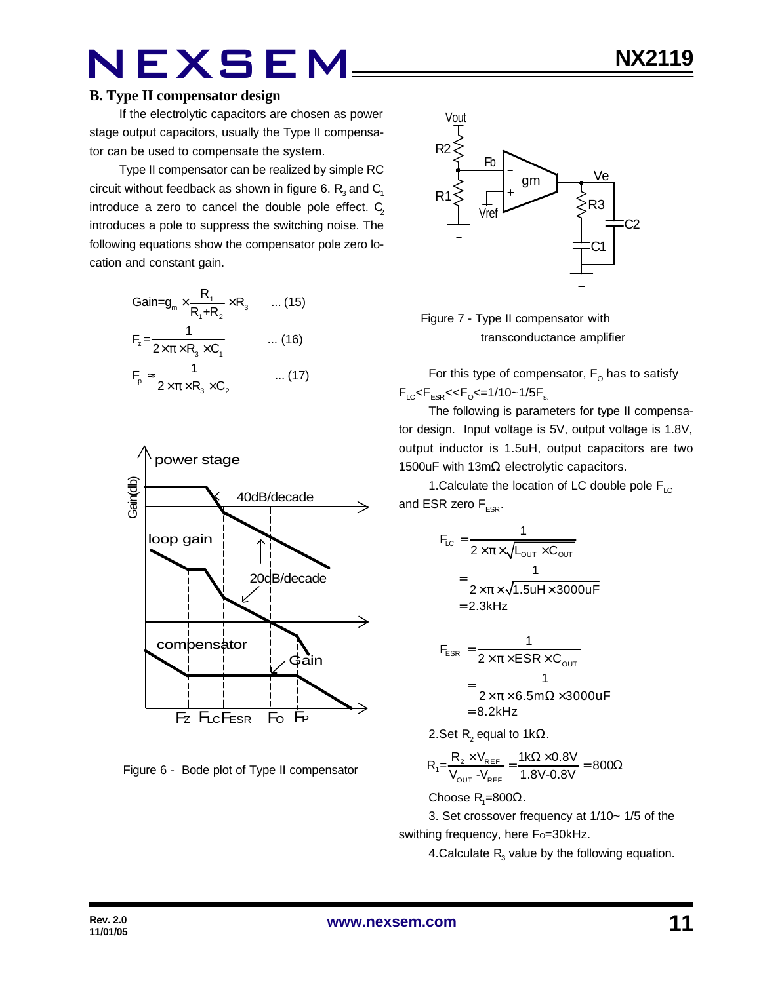#### **B. Type II compensator design**

If the electrolytic capacitors are chosen as power stage output capacitors, usually the Type II compensator can be used to compensate the system.

Type II compensator can be realized by simple RC circuit without feedback as shown in figure 6.  $\mathsf{R}_{_{\!3}}$  and  $\mathsf{C}_{_{\!1}}$ introduce a zero to cancel the double pole effect.  $C_2$ introduces a pole to suppress the switching noise. The following equations show the compensator pole zero location and constant gain.

$$
Gain = g_m \times \frac{R_1}{R_1 + R_2} \times R_3 \qquad \dots (15)
$$
  
\n
$$
F_z = \frac{1}{2 \times \pi \times R_3 \times C_1} \qquad \dots (16)
$$
  
\n
$$
F_p \approx \frac{1}{2 \times \pi \times R_3 \times C_2} \qquad \dots (17)
$$



Figure 6 - Bode plot of Type II compensator



 Figure 7 - Type II compensator with transconductance amplifier

For this type of compensator,  $\mathsf{F}_\mathsf{O}$  has to satisfy  $F_{LC}$ < $F_{ESR}$ << $F_{O}$ <=1/10~1/5 $F_{s.}$ 

The following is parameters for type II compensator design. Input voltage is 5V, output voltage is 1.8V, output inductor is 1.5uH, output capacitors are two 1500uF with 13mΩ electrolytic capacitors.

1. Calculate the location of LC double pole  $F_{\text{LC}}$ and ESR zero  $F_{FSR}$ .

$$
F_{LC} = \frac{1}{2 \times \pi \times \sqrt{L_{OUT} \times C_{OUT}}}
$$

$$
= \frac{1}{2 \times \pi \times \sqrt{1.5 uH \times 3000 uF}}
$$

$$
= 2.3 kHz
$$

$$
F_{ESR} = \frac{1}{2 \times \pi \times ESR \times C_{OUT}}
$$
  
= 
$$
\frac{1}{2 \times \pi \times 6.5 \text{m}\Omega \times 3000 \text{uF}}
$$
  
= 8.2kHz

2.Set R<sub>2</sub> equal to 1kΩ.

$$
R_{1} = \frac{R_{2} \times V_{REF}}{V_{OUT} - V_{REF}} = \frac{1 k \Omega \times 0.8 V}{1.8 V - 0.8 V} = 800 \Omega
$$

Choose R<sub>1</sub>=800Ω.

3. Set crossover frequency at 1/10~ 1/5 of the swithing frequency, here Fo=30kHz.

4.Calculate  $R_{3}$  value by the following equation.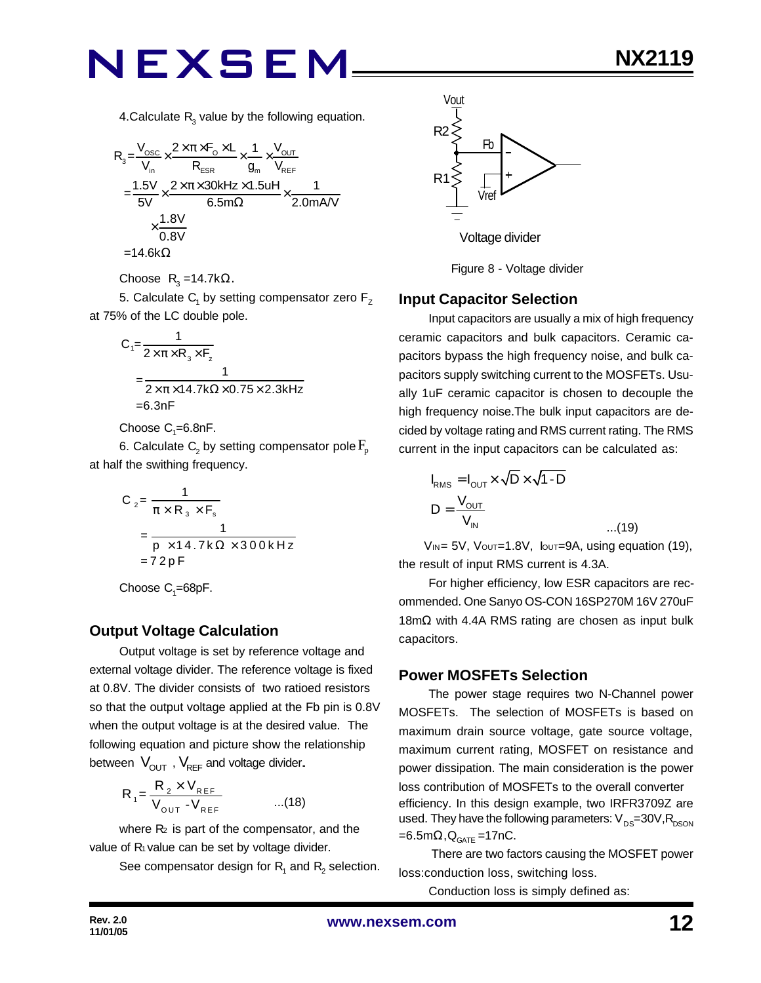4.Calculate  $R_{3}$  value by the following equation.

$$
R_{3} = \frac{V_{\text{osc}}}{V_{\text{in}}} \times \frac{2 \times \pi \times F_{\text{o}} \times L}{R_{\text{ESR}}} \times \frac{1}{g_{\text{m}}} \times \frac{V_{\text{OUT}}}{V_{\text{REF}}}
$$
\n
$$
= \frac{1.5V}{5V} \times \frac{2 \times \pi \times 30 \text{kHz} \times 1.5 \text{uH}}{6.5 \text{m}\Omega} \times \frac{1}{2.0 \text{mA/V}}
$$
\n
$$
\times \frac{1.8V}{0.8V}
$$
\n=14.6k $\Omega$ 

Choose  $R_3 = 14.7k\Omega$ .

5. Calculate  $\mathsf{C}_\mathsf{1}$  by setting compensator zero  $\mathsf{F}_\mathsf{Z}$ at 75% of the LC double pole.

$$
C_1 = \frac{1}{2 \times \pi \times R_3 \times F_z}
$$
  
= 
$$
\frac{1}{2 \times \pi \times 14.7 k\Omega \times 0.75 \times 2.3 kHz}
$$
  
= 6.3nF

Choose  $\mathrm{C}_\text{\tiny{1}}$ =6.8nF.

6. Calculate  $\mathsf{C}_\text{2}$  by setting compensator pole  $\mathrm{F}_{\text{p}}$ at half the swithing frequency.

$$
C_2 = \frac{1}{\pi \times R_3 \times F_s}
$$
  
= 
$$
\frac{1}{p \times 14.7k\Omega \times 300kHz}
$$
  
= 72pF

Choose  $\mathrm{C}_\text{\tiny{1}}$ =68pF.

#### **Output Voltage Calculation**

Output voltage is set by reference voltage and external voltage divider. The reference voltage is fixed at 0.8V. The divider consists of two ratioed resistors so that the output voltage applied at the Fb pin is 0.8V when the output voltage is at the desired value. The following equation and picture show the relationship between  $V_{\text{OUT}}$ ,  $V_{\text{REF}}$  and voltage divider.

$$
R_{1} = \frac{R_{2} \times V_{REF}}{V_{OUT} - V_{REF}} \qquad ...(18)
$$

where  $R<sub>2</sub>$  is part of the compensator, and the value of R<sub>1</sub> value can be set by voltage divider.

See compensator design for  $\mathsf{R}_{\mathsf{1}}$  and  $\mathsf{R}_{\mathsf{2}}$  selection.



Figure 8 - Voltage divider

#### **Input Capacitor Selection**

Input capacitors are usually a mix of high frequency ceramic capacitors and bulk capacitors. Ceramic capacitors bypass the high frequency noise, and bulk capacitors supply switching current to the MOSFETs. Usually 1uF ceramic capacitor is chosen to decouple the high frequency noise.The bulk input capacitors are decided by voltage rating and RMS current rating. The RMS current in the input capacitors can be calculated as:

$$
I_{RMS} = I_{OUT} \times \sqrt{D} \times \sqrt{1 - D}
$$
  

$$
D = \frac{V_{OUT}}{V_{IN}}
$$
...(19)

VIN = 5V, Vout=1.8V, Iout=9A, using equation (19), the result of input RMS current is 4.3A.

For higher efficiency, low ESR capacitors are recommended. One Sanyo OS-CON 16SP270M 16V 270uF 18mΩ with 4.4A RMS rating are chosen as input bulk capacitors.

#### **Power MOSFETs Selection**

The power stage requires two N-Channel power MOSFETs. The selection of MOSFETs is based on maximum drain source voltage, gate source voltage, maximum current rating, MOSFET on resistance and power dissipation. The main consideration is the power loss contribution of MOSFETs to the overall converter efficiency. In this design example, two IRFR3709Z are used. They have the following parameters:  $V_{DS}=30V, R_{DSON}$ =6.5m $\Omega$ , $\mathsf{Q}_{\mathsf{GATE}}$  =17nC.

 There are two factors causing the MOSFET power loss:conduction loss, switching loss.

Conduction loss is simply defined as: